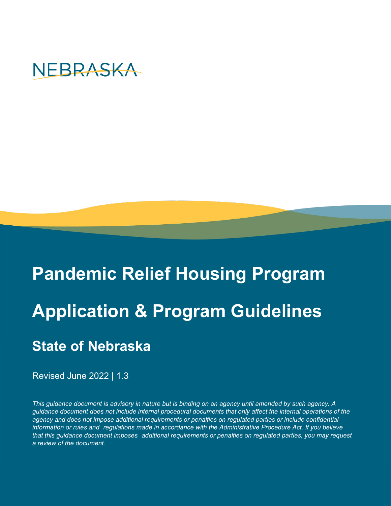

# **Pandemic Relief Housing Program Application & Program Guidelines State of Nebraska**

Revised June 2022 | 1.3

*This guidance document is advisory in nature but is binding on an agency until amended by such agency. A guidance document does not include internal procedural documents that only affect the internal operations of the agency and does not impose additional requirements or penalties on regulated parties or include confidential information or rules and regulations made in accordance with the Administrative Procedure Act. If you believe that this guidance document imposes additional requirements or penalties on regulated parties, you may request a review of the document.*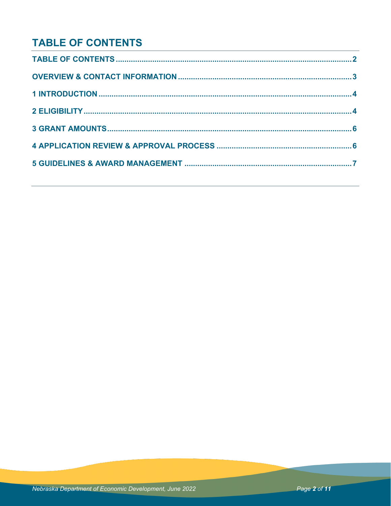# **TABLE OF CONTENTS**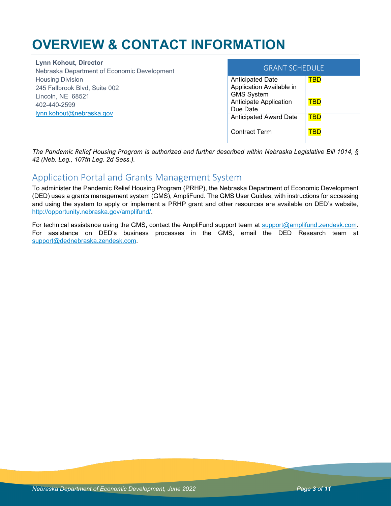# **OVERVIEW & CONTACT INFORMATION**

**Lynn Kohout, Director** Nebraska Department of Economic Development Housing Division 245 Fallbrook Blvd, Suite 002 Lincoln, NE 68521 402-440-2599 [lynn.kohout@nebraska.gov](mailto:lynn.kohout@nebraska.gov) 

| <b>GRANT SCHEDULE</b>                                                    |  |
|--------------------------------------------------------------------------|--|
| <b>Anticipated Date</b><br>Application Available in<br><b>GMS System</b> |  |
| Anticipate Application<br>Due Date                                       |  |
| <b>Anticipated Award Date</b>                                            |  |
| <b>Contract Term</b>                                                     |  |

*The Pandemic Relief Housing Program is authorized and further described within Nebraska Legislative Bill 1014, § 42 (Neb. Leg., 107th Leg. 2d Sess.).*

### Application Portal and Grants Management System

To administer the Pandemic Relief Housing Program (PRHP), the Nebraska Department of Economic Development (DED) uses a grants management system (GMS), AmpliFund. The GMS User Guides, with instructions for accessing and using the system to apply or implement a PRHP grant and other resources are available on DED's website, [http://opportunity.nebraska.gov/amplifund/.](http://opportunity.nebraska.gov/amplifund/)

For technical assistance using the GMS, contact the AmpliFund support team at [support@amplifund.zendesk.com.](mailto:support@amplifund.zendesk.com) For assistance on DED's business processes in the GMS, email the DED Research team at [support@dednebraska.zendesk.com.](mailto:support@dednebraska.zendesk.com)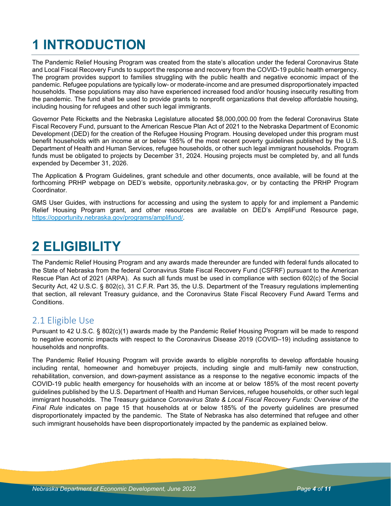# **1 INTRODUCTION**

The Pandemic Relief Housing Program was created from the state's allocation under the federal Coronavirus State and Local Fiscal Recovery Funds to support the response and recovery from the COVID-19 public health emergency. The program provides support to families struggling with the public health and negative economic impact of the pandemic. Refugee populations are typically low- or moderate-income and are presumed disproportionately impacted households. These populations may also have experienced increased food and/or housing insecurity resulting from the pandemic. The fund shall be used to provide grants to nonprofit organizations that develop affordable housing, including housing for refugees and other such legal immigrants.

Governor Pete Ricketts and the Nebraska Legislature allocated \$8,000,000.00 from the federal Coronavirus State Fiscal Recovery Fund, pursuant to the American Rescue Plan Act of 2021 to the Nebraska Department of Economic Development (DED) for the creation of the Refugee Housing Program. Housing developed under this program must benefit households with an income at or below 185% of the most recent poverty guidelines published by the U.S. Department of Health and Human Services, refugee households, or other such legal immigrant households. Program funds must be obligated to projects by December 31, 2024. Housing projects must be completed by, and all funds expended by December 31, 2026.

The Application & Program Guidelines, grant schedule and other documents, once available, will be found at the forthcoming PRHP webpage on DED's website, opportunity.nebraska.gov, or by contacting the PRHP Program Coordinator.

GMS User Guides, with instructions for accessing and using the system to apply for and implement a Pandemic Relief Housing Program grant, and other resources are available on DED's AmpliFund Resource page, [https://opportunity.nebraska.gov/programs/amplifund/.](https://opportunity.nebraska.gov/programs/amplifund/)

# **2 ELIGIBILITY**

The Pandemic Relief Housing Program and any awards made thereunder are funded with federal funds allocated to the State of Nebraska from the federal Coronavirus State Fiscal Recovery Fund (CSFRF) pursuant to the American Rescue Plan Act of 2021 (ARPA). As such all funds must be used in compliance with section 602(c) of the Social Security Act, 42 U.S.C. § 802(c), 31 C.F.R. Part 35, the U.S. Department of the Treasury regulations implementing that section, all relevant Treasury guidance, and the Coronavirus State Fiscal Recovery Fund Award Terms and Conditions.

## 2.1 Eligible Use

Pursuant to 42 U.S.C. § 802(c)(1) awards made by the Pandemic Relief Housing Program will be made to respond to negative economic impacts with respect to the Coronavirus Disease 2019 (COVID–19) including assistance to households and nonprofits.

The Pandemic Relief Housing Program will provide awards to eligible nonprofits to develop affordable housing including rental, homeowner and homebuyer projects, including single and multi-family new construction, rehabilitation, conversion, and down-payment assistance as a response to the negative economic impacts of the COVID-19 public health emergency for households with an income at or below 185% of the most recent poverty guidelines published by the U.S. Department of Health and Human Services, refugee households, or other such legal immigrant households. The Treasury guidance *Coronavirus State & Local Fiscal Recovery Funds: Overview of the Final Rule* indicates on page 15 that households at or below 185% of the poverty guidelines are presumed disproportionately impacted by the pandemic. The State of Nebraska has also determined that refugee and other such immigrant households have been disproportionately impacted by the pandemic as explained below.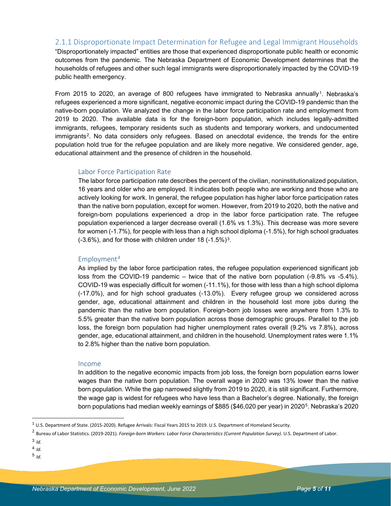#### 2.1.1 Disproportionate Impact Determination for Refugee and Legal Immigrant Households

"Disproportionately impacted" entities are those that experienced disproportionate public health or economic outcomes from the pandemic. The Nebraska Department of Economic Development determines that the households of refugees and other such legal immigrants were disproportionately impacted by the COVID-19 public health emergency.

From 2015 to 2020, an average of 800 refugees have immigrated to Nebraska annually<sup>1</sup>. Nebraska's refugees experienced a more significant, negative economic impact during the COVID-19 pandemic than the native-born population. We analyzed the change in the labor force participation rate and employment from 2019 to 2020. The available data is for the foreign-born population, which includes legally-admitted immigrants, refugees, temporary residents such as students and temporary workers, and undocumented immigrants<sup>[2](#page-4-1)</sup>. No data considers only refugees. Based on anecdotal evidence, the trends for the entire population hold true for the refugee population and are likely more negative. We considered gender, age, educational attainment and the presence of children in the household.

#### Labor Force Participation Rate

The labor force participation rate describes the percent of the civilian, noninstitutionalized population, 16 years and older who are employed. It indicates both people who are working and those who are actively looking for work. In general, the refugee population has higher labor force participation rates than the native born population, except for women. However, from 2019 to 2020, both the native and foreign-born populations experienced a drop in the labor force participation rate. The refugee population experienced a larger decrease overall (1.6% vs 1.3%). This decrease was more severe for women (-1.7%), for people with less than a high school diploma (-1.5%), for high school graduates  $(-3.6\%)$  $(-3.6\%)$  $(-3.6\%)$ , and for those with children under 18  $(-1.5\%)$ <sup>3</sup>.

#### Employment*[4](#page-4-3)*

As implied by the labor force participation rates, the refugee population experienced significant job loss from the COVID-19 pandemic – twice that of the native born population (-9.8% vs -5.4%). COVID-19 was especially difficult for women (-11.1%), for those with less than a high school diploma (-17.0%), and for high school graduates (-13.0%). Every refugee group we considered across gender, age, educational attainment and children in the household lost more jobs during the pandemic than the native born population. Foreign-born job losses were anywhere from 1.3% to 5.5% greater than the native born population across those demographic groups. Parallel to the job loss, the foreign born population had higher unemployment rates overall (9.2% vs 7.8%), across gender, age, educational attainment, and children in the household. Unemployment rates were 1.1% to 2.8% higher than the native born population.

#### Income

In addition to the negative economic impacts from job loss, the foreign born population earns lower wages than the native born population. The overall wage in 2020 was 13% lower than the native born population. While the gap narrowed slightly from 2019 to 2020, it is still significant. Furthermore, the wage gap is widest for refugees who have less than a Bachelor's degree. Nationally, the foreign born populations had median weekly earnings of \$885 (\$46,020 per year) in 2020[5.](#page-4-4) Nebraska's 2020

- <span id="page-4-3"></span> $4$  *Id.*
- <span id="page-4-4"></span> $5$   $\overline{1}$

<span id="page-4-0"></span><sup>1</sup> U.S. Department of State. (2015-2020). Refugee Arrivals: Fiscal Years 2015 to 2019. U.S. Department of Homeland Security.

<span id="page-4-1"></span><sup>2</sup> Bureau of Labor Statistics. (2019-2021). *Foreign-born Workers: Labor Force Characteristics (Current Population Survey).* U.S. Department of Labor.

<span id="page-4-2"></span><sup>3</sup> *Id*.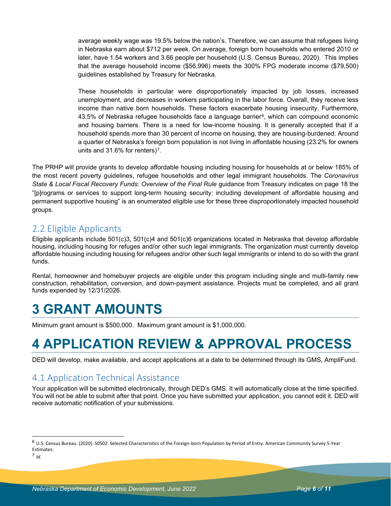average weekly wage was 19.5% below the nation's. Therefore, we can assume that refugees living in Nebraska earn about \$712 per week. On average, foreign born households who entered 2010 or later, have 1.54 workers and 3.66 people per household (U.S. Census Bureau, 2020). This implies that the average household income (\$56,996) meets the 300% FPG moderate income (\$79,500) guidelines established by Treasury for Nebraska.

These households in particular were disproportionately impacted by job losses, increased unemployment, and decreases in workers participating in the labor force. Overall, they receive less income than native born households. These factors exacerbate housing insecurity. Furthermore,  $43.5\%$  of Nebraska refugee households face a language barrier $6$ , which can compound economic and housing barriers. There is a need for low-income housing. It is generally accepted that if a household spends more than 30 percent of income on housing, they are housing-burdened. Around a quarter of Nebraska's foreign born population is not living in affordable housing (23.2% for owners units and 31.6% for renters)<sup>7</sup>.

The PRHP will provide grants to develop affordable housing including housing for households at or below 185% of the most recent poverty guidelines, refugee households and other legal immigrant households. The *Coronavirus State & Local Fiscal Recovery Funds: Overview of the Final Rule* guidance from Treasury indicates on page 18 the "[p]rograms or services to support long-term housing security: including development of affordable housing and permanent supportive housing" is an enumerated eligible use for these three disproportionately impacted household groups.

# 2.2 Eligible Applicants

Eligible applicants include 501(c)3, 501(c)4 and 501(c)6 organizations located in Nebraska that develop affordable housing, including housing for refuges and/or other such legal immigrants. The organization must currently develop affordable housing including housing for refugees and/or other such legal immigrants or intend to do so with the grant funds.

Rental, homeowner and homebuyer projects are eligible under this program including single and multi-family new construction, rehabilitation, conversion, and down-payment assistance. Projects must be completed, and all grant funds expended by 12/31/2026.

# **3 GRANT AMOUNTS**

Minimum grant amount is \$500,000. Maximum grant amount is \$1,000,000.

# **4 APPLICATION REVIEW & APPROVAL PROCESS**

DED will develop, make available, and accept applications at a date to be determined through its GMS, AmpliFund.

# 4.1 Application Technical Assistance

Your application will be submitted electronically, through DED's GMS. It will automatically close at the time specified. You will not be able to submit after that point. Once you have submitted your application, you cannot edit it. DED will receive automatic notification of your submissions.

<span id="page-5-0"></span><sup>6</sup> U.S. Census Bureau. (2020). S0502: Selected Characteristics of the Foreign-born Population by Period of Entry. American Community Survey 5-Year Estimates.

<span id="page-5-1"></span><sup>7</sup> *Id.*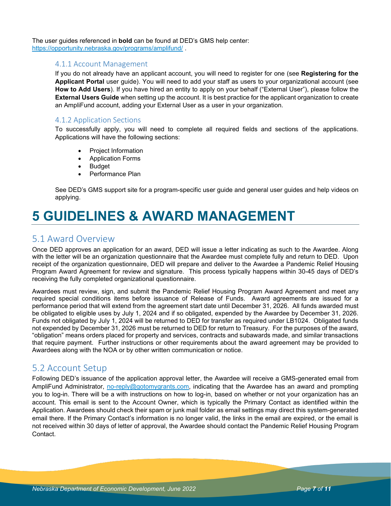The user guides referenced in **bold** can be found at DED's GMS help center: <https://opportunity.nebraska.gov/programs/amplifund/> .

#### 4.1.1 Account Management

If you do not already have an applicant account, you will need to register for one (see **Registering for the Applicant Portal** user guide). You will need to add your staff as users to your organizational account (see **How to Add Users**). If you have hired an entity to apply on your behalf ("External User"), please follow the **External Users Guide** when setting up the account. It is best practice for the applicant organization to create an AmpliFund account, adding your External User as a user in your organization.

#### 4.1.2 Application Sections

To successfully apply, you will need to complete all required fields and sections of the applications. Applications will have the following sections:

- Project Information
- Application Forms
- Budget
- Performance Plan

See DED's GMS support site for a program-specific user guide and general user guides and help videos on applying.

# **5 GUIDELINES & AWARD MANAGEMENT**

### 5.1 Award Overview

Once DED approves an application for an award, DED will issue a letter indicating as such to the Awardee. Along with the letter will be an organization questionnaire that the Awardee must complete fully and return to DED. Upon receipt of the organization questionnaire, DED will prepare and deliver to the Awardee a Pandemic Relief Housing Program Award Agreement for review and signature. This process typically happens within 30-45 days of DED's receiving the fully completed organizational questionnaire.

Awardees must review, sign, and submit the Pandemic Relief Housing Program Award Agreement and meet any required special conditions items before issuance of Release of Funds. Award agreements are issued for a performance period that will extend from the agreement start date until December 31, 2026. All funds awarded must be obligated to eligible uses by July 1, 2024 and if so obligated, expended by the Awardee by December 31, 2026. Funds not obligated by July 1, 2024 will be returned to DED for transfer as required under LB1024. Obligated funds not expended by December 31, 2026 must be returned to DED for return to Treasury. For the purposes of the award, "obligation" means orders placed for property and services, contracts and subawards made, and similar transactions that require payment. Further instructions or other requirements about the award agreement may be provided to Awardees along with the NOA or by other written communication or notice.

### 5.2 Account Setup

Following DED's issuance of the application approval letter, the Awardee will receive a GMS-generated email from AmpliFund Administrator, [no-reply@gotomygrants.com,](mailto:no-reply@gotomygrants.com) indicating that the Awardee has an award and prompting you to log-in. There will be a with instructions on how to log-in, based on whether or not your organization has an account. This email is sent to the Account Owner, which is typically the Primary Contact as identified within the Application. Awardees should check their spam or junk mail folder as email settings may direct this system-generated email there. If the Primary Contact's information is no longer valid, the links in the email are expired, or the email is not received within 30 days of letter of approval, the Awardee should contact the Pandemic Relief Housing Program Contact.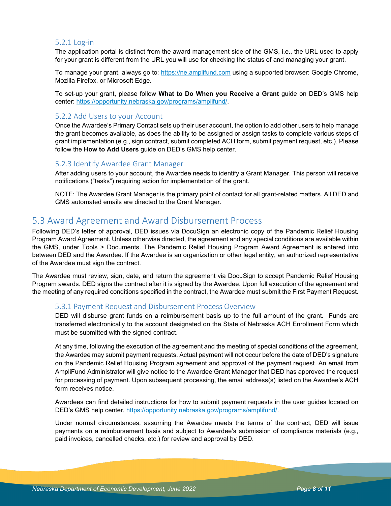#### 5.2.1 Log-in

The application portal is distinct from the award management side of the GMS, i.e., the URL used to apply for your grant is different from the URL you will use for checking the status of and managing your grant.

To manage your grant, always go to: [https://ne.amplifund.com](https://ne.amplifund.com/) using a supported browser: Google Chrome, Mozilla Firefox, or Microsoft Edge.

To set-up your grant, please follow **What to Do When you Receive a Grant** guide on DED's GMS help center: [https://opportunity.nebraska.gov/programs/amplifund/.](https://opportunity.nebraska.gov/programs/amplifund/)

#### 5.2.2 Add Users to your Account

Once the Awardee's Primary Contact sets up their user account, the option to add other users to help manage the grant becomes available, as does the ability to be assigned or assign tasks to complete various steps of grant implementation (e.g., sign contract, submit completed ACH form, submit payment request, etc.). Please follow the **How to Add Users** guide on DED's GMS help center.

#### 5.2.3 Identify Awardee Grant Manager

After adding users to your account, the Awardee needs to identify a Grant Manager. This person will receive notifications ("tasks") requiring action for implementation of the grant.

NOTE: The Awardee Grant Manager is the primary point of contact for all grant-related matters. All DED and GMS automated emails are directed to the Grant Manager.

### 5.3 Award Agreement and Award Disbursement Process

Following DED's letter of approval, DED issues via DocuSign an electronic copy of the Pandemic Relief Housing Program Award Agreement. Unless otherwise directed, the agreement and any special conditions are available within the GMS, under Tools > Documents. The Pandemic Relief Housing Program Award Agreement is entered into between DED and the Awardee. If the Awardee is an organization or other legal entity, an authorized representative of the Awardee must sign the contract.

The Awardee must review, sign, date, and return the agreement via DocuSign to accept Pandemic Relief Housing Program awards. DED signs the contract after it is signed by the Awardee. Upon full execution of the agreement and the meeting of any required conditions specified in the contract, the Awardee must submit the First Payment Request.

#### 5.3.1 Payment Request and Disbursement Process Overview

DED will disburse grant funds on a reimbursement basis up to the full amount of the grant. Funds are transferred electronically to the account designated on the State of Nebraska ACH Enrollment Form which must be submitted with the signed contract.

At any time, following the execution of the agreement and the meeting of special conditions of the agreement, the Awardee may submit payment requests. Actual payment will not occur before the date of DED's signature on the Pandemic Relief Housing Program agreement and approval of the payment request. An email from AmpliFund Administrator will give notice to the Awardee Grant Manager that DED has approved the request for processing of payment. Upon subsequent processing, the email address(s) listed on the Awardee's ACH form receives notice.

Awardees can find detailed instructions for how to submit payment requests in the user guides located on DED's GMS help center, [https://opportunity.nebraska.gov/programs/amplifund/.](https://opportunity.nebraska.gov/programs/amplifund/) 

Under normal circumstances, assuming the Awardee meets the terms of the contract, DED will issue payments on a reimbursement basis and subject to Awardee's submission of compliance materials (e.g., paid invoices, cancelled checks, etc.) for review and approval by DED.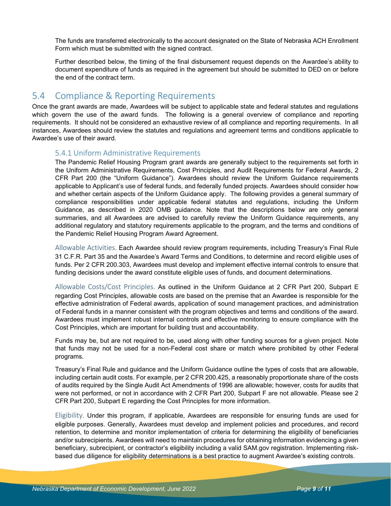The funds are transferred electronically to the account designated on the State of Nebraska ACH Enrollment Form which must be submitted with the signed contract.

Further described below, the timing of the final disbursement request depends on the Awardee's ability to document expenditure of funds as required in the agreement but should be submitted to DED on or before the end of the contract term.

### 5.4 Compliance & Reporting Requirements

Once the grant awards are made, Awardees will be subject to applicable state and federal statutes and regulations which govern the use of the award funds. The following is a general overview of compliance and reporting requirements. It should not be considered an exhaustive review of all compliance and reporting requirements. In all instances, Awardees should review the statutes and regulations and agreement terms and conditions applicable to Awardee's use of their award.

#### 5.4.1 Uniform Administrative Requirements

The Pandemic Relief Housing Program grant awards are generally subject to the requirements set forth in the Uniform Administrative Requirements, Cost Principles, and Audit Requirements for Federal Awards, 2 CFR Part 200 (the "Uniform Guidance"). Awardees should review the Uniform Guidance requirements applicable to Applicant's use of federal funds, and federally funded projects. Awardees should consider how and whether certain aspects of the Uniform Guidance apply. The following provides a general summary of compliance responsibilities under applicable federal statutes and regulations, including the Uniform Guidance, as described in 2020 OMB guidance. Note that the descriptions below are only general summaries, and all Awardees are advised to carefully review the Uniform Guidance requirements, any additional regulatory and statutory requirements applicable to the program, and the terms and conditions of the Pandemic Relief Housing Program Award Agreement.

Allowable Activities. Each Awardee should review program requirements, including Treasury's Final Rule 31 C.F.R. Part 35 and the Awardee's Award Terms and Conditions, to determine and record eligible uses of funds. Per 2 CFR 200.303, Awardees must develop and implement effective internal controls to ensure that funding decisions under the award constitute eligible uses of funds, and document determinations.

Allowable Costs/Cost Principles. As outlined in the Uniform Guidance at 2 CFR Part 200, Subpart E regarding Cost Principles, allowable costs are based on the premise that an Awardee is responsible for the effective administration of Federal awards, application of sound management practices, and administration of Federal funds in a manner consistent with the program objectives and terms and conditions of the award. Awardees must implement robust internal controls and effective monitoring to ensure compliance with the Cost Principles, which are important for building trust and accountability.

Funds may be, but are not required to be, used along with other funding sources for a given project. Note that funds may not be used for a non-Federal cost share or match where prohibited by other Federal programs.

Treasury's Final Rule and guidance and the Uniform Guidance outline the types of costs that are allowable, including certain audit costs. For example, per 2 CFR 200.425, a reasonably proportionate share of the costs of audits required by the Single Audit Act Amendments of 1996 are allowable; however, costs for audits that were not performed, or not in accordance with 2 CFR Part 200, Subpart F are not allowable. Please see 2 CFR Part 200, Subpart E regarding the Cost Principles for more information.

Eligibility. Under this program, if applicable, Awardees are responsible for ensuring funds are used for eligible purposes. Generally, Awardees must develop and implement policies and procedures, and record retention, to determine and monitor implementation of criteria for determining the eligibility of beneficiaries and/or subrecipients. Awardees will need to maintain procedures for obtaining information evidencing a given beneficiary, subrecipient, or contractor's eligibility including a valid SAM.gov registration. Implementing riskbased due diligence for eligibility determinations is a best practice to augment Awardee's existing controls.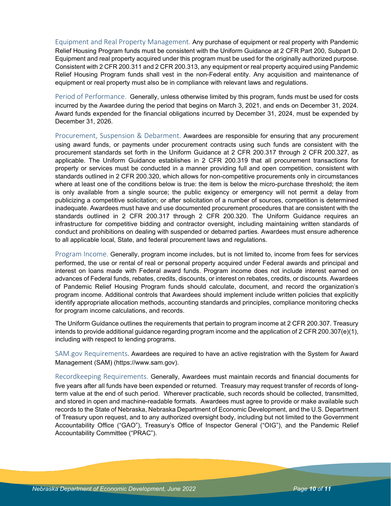Equipment and Real Property Management. Any purchase of equipment or real property with Pandemic Relief Housing Program funds must be consistent with the Uniform Guidance at 2 CFR Part 200, Subpart D. Equipment and real property acquired under this program must be used for the originally authorized purpose. Consistent with 2 CFR 200.311 and 2 CFR 200.313, any equipment or real property acquired using Pandemic Relief Housing Program funds shall vest in the non-Federal entity. Any acquisition and maintenance of equipment or real property must also be in compliance with relevant laws and regulations.

Period of Performance. Generally, unless otherwise limited by this program, funds must be used for costs incurred by the Awardee during the period that begins on March 3, 2021, and ends on December 31, 2024. Award funds expended for the financial obligations incurred by December 31, 2024, must be expended by December 31, 2026.

Procurement, Suspension & Debarment. Awardees are responsible for ensuring that any procurement using award funds, or payments under procurement contracts using such funds are consistent with the procurement standards set forth in the Uniform Guidance at 2 CFR 200.317 through 2 CFR 200.327, as applicable. The Uniform Guidance establishes in 2 CFR 200.319 that all procurement transactions for property or services must be conducted in a manner providing full and open competition, consistent with standards outlined in 2 CFR 200.320, which allows for non-competitive procurements only in circumstances where at least one of the conditions below is true: the item is below the micro-purchase threshold; the item is only available from a single source; the public exigency or emergency will not permit a delay from publicizing a competitive solicitation; or after solicitation of a number of sources, competition is determined inadequate. Awardees must have and use documented procurement procedures that are consistent with the standards outlined in 2 CFR 200.317 through 2 CFR 200.320. The Uniform Guidance requires an infrastructure for competitive bidding and contractor oversight, including maintaining written standards of conduct and prohibitions on dealing with suspended or debarred parties. Awardees must ensure adherence to all applicable local, State, and federal procurement laws and regulations.

Program Income. Generally, program income includes, but is not limited to, income from fees for services performed, the use or rental of real or personal property acquired under Federal awards and principal and interest on loans made with Federal award funds. Program income does not include interest earned on advances of Federal funds, rebates, credits, discounts, or interest on rebates, credits, or discounts. Awardees of Pandemic Relief Housing Program funds should calculate, document, and record the organization's program income. Additional controls that Awardees should implement include written policies that explicitly identify appropriate allocation methods, accounting standards and principles, compliance monitoring checks for program income calculations, and records.

The Uniform Guidance outlines the requirements that pertain to program income at 2 CFR 200.307. Treasury intends to provide additional guidance regarding program income and the application of 2 CFR 200.307(e)(1), including with respect to lending programs.

SAM.gov Requirements. Awardees are required to have an active registration with the System for Award Management (SAM) (https://www.sam.gov).

Recordkeeping Requirements. Generally, Awardees must maintain records and financial documents for five years after all funds have been expended or returned. Treasury may request transfer of records of longterm value at the end of such period. Wherever practicable, such records should be collected, transmitted, and stored in open and machine-readable formats. Awardees must agree to provide or make available such records to the State of Nebraska, Nebraska Department of Economic Development, and the U.S. Department of Treasury upon request, and to any authorized oversight body, including but not limited to the Government Accountability Office ("GAO"), Treasury's Office of Inspector General ("OIG"), and the Pandemic Relief Accountability Committee ("PRAC").